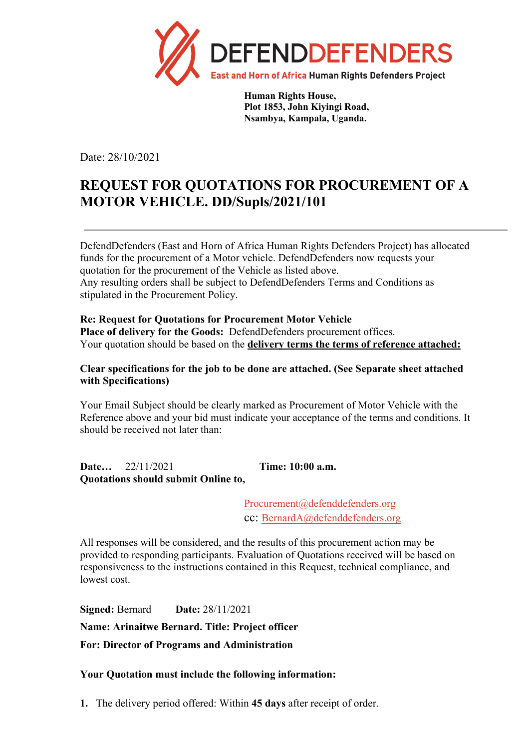

**Human Rights House, Plot 1853, John Kiyingi Road, Nsambya, Kampala, Uganda.** 

Date: 28/10/2021

## **REQUEST FOR QUOTATIONS FOR PROCUREMENT OF A MOTOR VEHICLE. DD/Supls/2021/101**

DefendDefenders (East and Horn of Africa Human Rights Defenders Project) has allocated funds for the procurement of a Motor vehicle. DefendDefenders now requests your quotation for the procurement of the Vehicle as listed above. Any resulting orders shall be subject to DefendDefenders Terms and Conditions as stipulated in the Procurement Policy.

## **Re: Request for Quotations for Procurement Motor Vehicle**

**Place of delivery for the Goods:** DefendDefenders procurement offices. Your quotation should be based on the **delivery terms the terms of reference attached:**

## **Clear specifications for the job to be done are attached. (See Separate sheet attached with Specifications)**

Your Email Subject should be clearly marked as Procurement of Motor Vehicle with the Reference above and your bid must indicate your acceptance of the terms and conditions. It should be received not later than:

**Date…** 22/11/2021 **Time: 10:00 a.m. Quotations should submit Online to,**

> Procurement@defenddefenders.org cc: BernardA@defenddefenders.org

All responses will be considered, and the results of this procurement action may be provided to responding participants. Evaluation of Quotations received will be based on responsiveness to the instructions contained in this Request, technical compliance, and lowest cost.

**Signed:** Bernard **Date:** 28/11/2021 **Name: Arinaitwe Bernard. Title: Project officer For: Director of Programs and Administration**

## **Your Quotation must include the following information:**

**1.** The delivery period offered: Within **45 days** after receipt of order.